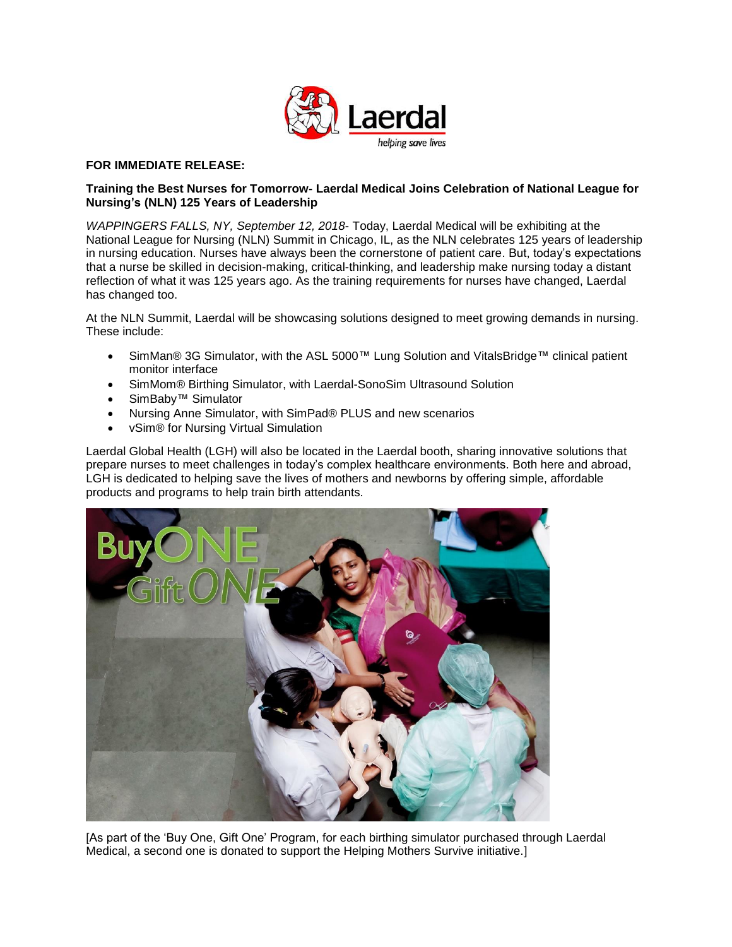

## **FOR IMMEDIATE RELEASE:**

## **Training the Best Nurses for Tomorrow- Laerdal Medical Joins Celebration of National League for Nursing's (NLN) 125 Years of Leadership**

*WAPPINGERS FALLS, NY, September 12, 2018*- Today, Laerdal Medical will be exhibiting at the National League for Nursing (NLN) Summit in Chicago, IL, as the NLN celebrates 125 years of leadership in nursing education. Nurses have always been the cornerstone of patient care. But, today's expectations that a nurse be skilled in decision-making, critical-thinking, and leadership make nursing today a distant reflection of what it was 125 years ago. As the training requirements for nurses have changed, Laerdal has changed too.

At the NLN Summit, Laerdal will be showcasing solutions designed to meet growing demands in nursing. These include:

- SimMan® 3G Simulator, with the ASL 5000™ Lung Solution and VitalsBridge™ clinical patient monitor interface
- SimMom® Birthing Simulator, with Laerdal-SonoSim Ultrasound Solution
- SimBaby™ Simulator
- Nursing Anne Simulator, with SimPad® PLUS and new scenarios
- vSim® for Nursing Virtual Simulation

Laerdal Global Health (LGH) will also be located in the Laerdal booth, sharing innovative solutions that prepare nurses to meet challenges in today's complex healthcare environments. Both here and abroad, LGH is dedicated to helping save the lives of mothers and newborns by offering simple, affordable products and programs to help train birth attendants.



[As part of the 'Buy One, Gift One' Program, for each birthing simulator purchased through Laerdal Medical, a second one is donated to support the Helping Mothers Survive initiative.]